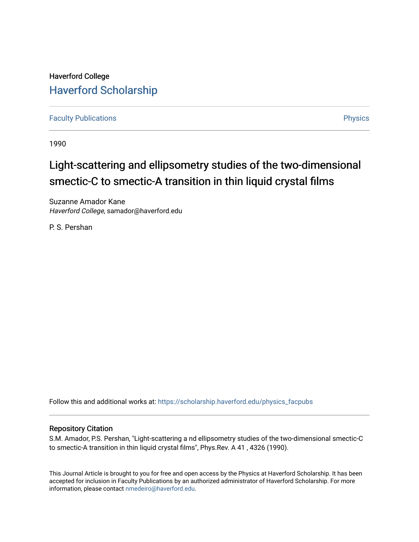## Haverford College [Haverford Scholarship](https://scholarship.haverford.edu/)

[Faculty Publications](https://scholarship.haverford.edu/physics_facpubs) **Physics** 

1990

# Light-scattering and ellipsometry studies of the two-dimensional smectic-C to smectic-A transition in thin liquid crystal films

Suzanne Amador Kane Haverford College, samador@haverford.edu

P. S. Pershan

Follow this and additional works at: [https://scholarship.haverford.edu/physics\\_facpubs](https://scholarship.haverford.edu/physics_facpubs?utm_source=scholarship.haverford.edu%2Fphysics_facpubs%2F138&utm_medium=PDF&utm_campaign=PDFCoverPages) 

## Repository Citation

S.M. Amador, P.S. Pershan, "Light-scattering a nd ellipsometry studies of the two-dimensional smectic-C to smectic-A transition in thin liquid crystal films", Phys.Rev. A 41 , 4326 (1990).

This Journal Article is brought to you for free and open access by the Physics at Haverford Scholarship. It has been accepted for inclusion in Faculty Publications by an authorized administrator of Haverford Scholarship. For more information, please contact [nmedeiro@haverford.edu.](mailto:nmedeiro@haverford.edu)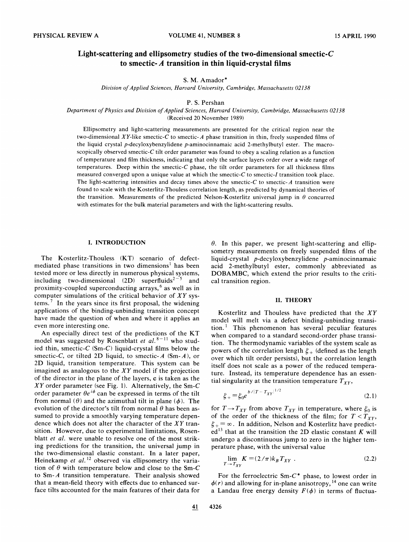## Light-scattering and ellipsometry studies of the two-dimensional smectic- $C$ to smectic-A transition in thin liquid-crystal films

#### S. M. Amador\*

Division of Applied Sciences, Harvard University, Cambridge, Massachusetts 02138

#### P. S. Pershan

Department of Physics and Division of Applied Sciences, Harvard University, Cambridge, Massachusetts 02138 (Received 20 November 1989)

Ellipsometry and light-scattering measurements are presented for the critical region near the two-dimensional XY-like smectic-C to smectic-A phase transition in thin, freely suspended films of the liquid crystal p-decyloxybenzylidene p-aminocinnarnaic acid 2-methylbutyl ester. The macroscopically observed smectic-C tilt order parameter was found to obey a scaling relation as a function of temperature and film thickness, indicating that only the surface layers order over a wide range of temperatures. Deep within the smectic-C phase, the tilt order parameters for all thickness films measured converged upon a unique value at which the smectic-C to smectic-I transition took place. The light-scattering intensities and decay times above the smectic- $C$  to smectic- $A$  transition were found to scale with the Kosterlitz-Thouless correlation length, as predicted by dynamical theories of the transition. Measurements of the predicted Nelson-Kosterlitz universal jump in  $\theta$  concurred with estimates for the bulk material parameters and with the light-scattering results.

#### I. INTRODUCTION

The Kosterlitz-Thouless (KT) scenario of defectmediated phase transitions in two dimensions' has been tested more or less directly in numerous physical systems, including two-dimensional  $(2D)$  superfluids<sup>2-5</sup> and proximity-coupled superconducting arrays,  $6$  as well as in computer simulations of the critical behavior of  $XY$  sys $tems.<sup>7</sup>$  In the years since its first proposal, the widening applications of the binding-unbinding transition concept have made the question of when and where it applies an even more interesting one.

An especially direct test of the predictions of the KT odel was suggested by Rosenblatt *et al.*<sup>8-11</sup> who studmodel was suggested by Rosenblatt *et al.*<sup>8-11</sup> who stud ied thin, smectic- $C$  (Sm- $C$ ) liquid-crystal films below the smectic-C, or tilted 2D liquid, to smectic- $A$  (Sm- $A$ ), or 2D liquid, transition temperature. This system can be imagined as analogous to the  $XY$  model if the projection of the director in the plane of the layers, c is taken as the  $XY$  order parameter (see Fig. 1). Alternatively, the Sm-C order parameter  $\theta e^{i\phi}$  can be expressed in terms of the tilt from normal ( $\theta$ ) and the azimuthal tilt in plane ( $\phi$ ). The evolution of the director's tilt from normal  $\theta$  has been assumed to provide a smoothly varying temperature dependence which does not alter the character of the XY transition. However, due to experimental limitations, Rosenblatt et al. were unable to resolve one of the most striking predictions for the transition, the universal jump in the two-dimensional elastic constant. In a later paper, Heinekamp et al.<sup>12</sup> observed via ellipsometry the varia tion of  $\theta$  with temperature below and close to the Sm-C to Sm-A transition temperature. Their analysis showed that a mean-field theory with effects due to enhanced surface tilts accounted for the main features of their data for

 $\theta$ . In this paper, we present light-scattering and ellipsometry measurements on freely suspended films of the liquid-crystal  $p$ -decyloxybenzylidene  $p$ -aminocinnamaic acid 2-methylbutyl ester, commonly abbreviated as DOBAMBC, which extend the prior results to the critical transition region.

#### II. THEORY

Kosterlitz and Thouless have predicted that the XY model will melt via a defect binding-unbinding transition. $<sup>1</sup>$  This phenomenon has several peculiar features</sup> when compared to a standard second-order phase transition. The thermodynamic variables of the system scale as powers of the correlation length  $\xi_+$  (defined as the length over which tilt order persists), but the correlation length itself does not scale as a power of the reduced temperature. Instead, its temperature dependence has an essential singularity at the transition temperature  $T_{XY}$ ,

$$
\xi_{+} = \xi_0 e^{b/|T - T_{XY}|^{1/2}}
$$
\n(2.1)

for  $T \rightarrow T_{XY}$  from above  $T_{XY}$  in temperature, where  $\xi_0$  is of the order of the thickness of the film; for  $T < T_{XY}$ ,  $\xi_{+} = \infty$ . In addition, Nelson and Kosterlitz have predict $ed<sup>13</sup>$  that at the transition the 2D elastic constant K will undergo a discontinuous jurnp to zero in the higher temperature phase, with the universal value

$$
\lim_{T \to T_{XY}} K = (2/\pi) k_B T_{XY} .
$$
 (2.2)

For the ferroelectric  $Sm-C^*$  phase, to lowest order in  $\phi(r)$  and allowing for in-plane anisotropy, <sup>14</sup> one can write a Landau free energy density  $F(\phi)$  in terms of fluctua-

41 4326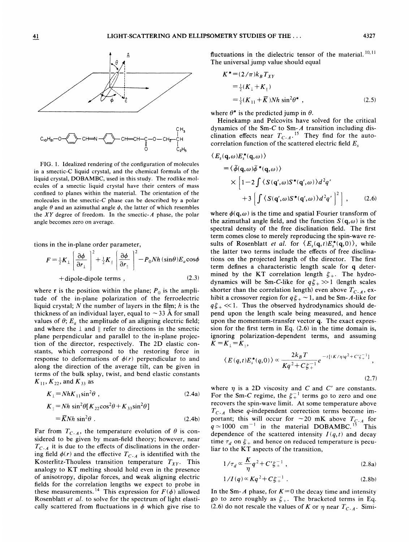

FIG. 1. Idealized rendering of the configuration of molecules in a smectic-C liquid crystal, and the chemical formula of the liquid crystal, DOBAMBC, used in this study. The rodlike molecules of a smectic liquid crystal have their centers of mass confined to planes within the material. The orientation of the molecules in the smectic- $C$  phase can be described by a polar angle  $\theta$  and an azimuthal angle  $\phi$ , the latter of which resembles the  $XY$  degree of freedom. In the smectic-A phase, the polar angle becomes zero on average.

 $\stackrel{\text{\tiny 1}}{\circ}$   $\stackrel{\text{\tiny 1}}{\circ}$   $\stackrel{\text{\tiny 1}}{\circ}$   $\stackrel{\text{\tiny 2}}{\circ}$   $\stackrel{\text{\tiny 1}}{\circ}$ 

tions in the in-plane order parameter,

$$
F = \frac{1}{2}K_{\perp} \left[ \frac{\partial \phi}{\partial r_{\perp}} \right]^2 + \frac{1}{2}K_{\parallel} \left[ \frac{\partial \phi}{\partial r_{\parallel}} \right]^2 - P_0 N h (\sin \theta) E_a \cos \phi
$$
  
+dipole-dipole terms , (2.3)

where **r** is the position within the plane;  $P_0$  is the amplitude of the in-plane polarization of the ferroelectric liquid crystal;  $N$  the number of layers in the film;  $h$  is the thickness of an individual layer, equal to  $\sim$  33 Å for small values of  $\theta$ ;  $E_a$  the amplitude of an aligning electric field; and where the  $\perp$  and  $\parallel$  refer to directions in the smectic plane perpendicular and parallel to the in-plane projection of the director, respectively. The 2D elastic constants, which correspond to the restoring force in response to deformations of  $\phi(r)$  perpendicular to and along the direction of the average tilt, can be given in terms of the bulk splay, twist, and bend elastic constants  $K_{11}$ ,  $K_{22}$ , and  $K_{33}$  as

$$
K_{\perp} = NhK_{11}\sin^2\theta , \qquad (2.4a)
$$
  
\n
$$
K_{\parallel} = Nh \sin^2\theta [K_{22}\cos^2\theta + K_{33}\sin^2\theta ]
$$
  
\n
$$
= \overline{K}Nh \sin^2\theta . \qquad (2.4b)
$$

$$
=\overline{K}Nh\sin^2\theta\ .
$$
 (2.4b)

Far from  $T_{C-A}$ , the temperature evolution of  $\theta$  is considered to be given by mean-field theory; however, near  $T_{C-A}$  it is due to the effects of disclinations in the order ing field  $\phi(r)$  and the effective  $T_{C-A}$  is identified with the Kosterlitz-Thouless transition temperature  $T_{XY}$ . This analogy to KT melting should hold even in the presence of anisotropy, dipolar forces, and weak aligning electric fields for the correlation lengths we expect to probe in these measurements.<sup>14</sup> This expression for  $F(\phi)$  allowed Rosenblatt *et al.* to solve for the spectrum of light elastically scattered from fluctuations in  $\phi$  which give rise to

fluctuations in the dielectric tensor of the material.  $^{10,11}$ The universal jump value should equal

$$
K^* = (2/\pi)k_B T_{XY}
$$
  
=  $\frac{1}{2}(K_{\perp} + K_{\parallel})$   
=  $\frac{1}{2}(K_{11} + \overline{K})Nh \sin^2 \theta^*$ , (2.5)

where  $\theta^*$  is the predicted jump in  $\theta$ .

Heinekamp and Pelcovits have solved for the critical dynamics of the Sm-C to Sm-A transition including disclination effects near  $T_{C-A}$ .<sup>15</sup> They find for the autocorrelation function of the scattered electric field  $E<sub>s</sub>$ 

$$
\langle E_s(\mathbf{q}, \omega) E_s^*(\mathbf{q}, \omega) \rangle
$$
  
=\langle \tilde{\phi}(\mathbf{q}, \omega) \tilde{\phi}^\*(\mathbf{q}, \omega) \rangle  
\times \left[ 1 - 2 \int \langle S(\mathbf{q}', \omega) S^\*(\mathbf{q}', \omega) \rangle d^2 q' \right.  
+ 3 \left[ \int \langle S(\mathbf{q}', \omega) S^\*(\mathbf{q}', \omega) \rangle d^2 q' \right]^2 \right], \quad (2.6)

where  $\phi(q, \omega)$  is the time and spatial Fourier transform of the azimuthal angle field, and the function  $S(q, \omega)$  is the spectral density of the free disclination field. The first term comes close to merely reproducing the spin-wave results of Rosenblatt *et al.* for  $\langle E_s(q, t)E_s^*(q, 0) \rangle$ , while the latter two terms include the effects of free disclinations on the projected length of the director. The first term defines a characteristic length scale for q determined by the KT correlation length  $\xi_{+}$ . The hydrodynamics will be Sm-C-like for  $q\xi_{+}>>1$  (length scales mined by the KT correlation length  $\xi_+$ . The hydro-<br>dynamics will be Sm-C-like for  $q\xi_+$  >>1 (length scales<br>shorter than the correlation length) even above  $T_{C.A}$ , ex-<br>hibit a crossover region for  $q\xi_+$  ~ 1, and be shorter than the correlation length) even above  $T_{C-A}$ , exhibit a crossover region for  $q\xi_+ \sim 1$ , and be Sm-A-like for  $q\xi_+ \ll 1$ . Thus the observed hydrodynamics should depend upon the length scale being measured, and hence upon the momentum-transfer vector q. The exact expression for the first term in Eq. (2.6) in the time domain is, ignoring polarization-dependent terms, and assuming  $K = K_{\perp} = K_{\perp}$ 

$$
\langle E(q,t)E_s^*(q,0)\rangle \propto \frac{2k_B T}{Kq^2 + C\xi_+^{-1}} e^{-t[(K/\eta)q^2 + C'\xi_+^{-1}]},
$$
\n(2.7)

where  $\eta$  is a 2D viscosity and C and C' are constants. For the Sm-C regime, the  $\xi_{+}^{-1}$  terms go to zero and one recovers the spin-wave limit. At some temperature above  $T_{C-A}$  these q-independent correction terms become important; this will occur for  $\sim$ 20 mK above  $T_{C-A}$  for  $q \approx 1000 \text{ cm}^{-1}$  in the material DOBAMBC.<sup>15</sup> This dependence of the scattered intensity  $I(q, t)$  and decay time  $\tau_d$  on  $\xi_+$  and hence on reduced temperature is peculiar to the KT aspects of the transition,

$$
1/\tau_d \propto \frac{K}{\eta} q^2 + C'\xi_+^{-1} , \qquad (2.8a)
$$

$$
1/I(q) \propto Kq^2 + C\xi_{+}^{-1} \tag{2.8b}
$$

In the Sm- A phase, for  $K=0$  the decay time and intensity go to zero roughly as  $\xi_{+}$ . The bracketed terms in Eq.  $1/I(q) \propto Kq^2 + C\xi_+^{-1}$ . (2.8b)<br>In the Sm-A phase, for  $K=0$  the decay time and intensity<br>go to zero roughly as  $\xi_+$ . The bracketed terms in Eq.<br>(2.6) do not rescale the values of K or  $\eta$  near  $T_{C-A}$ . Simi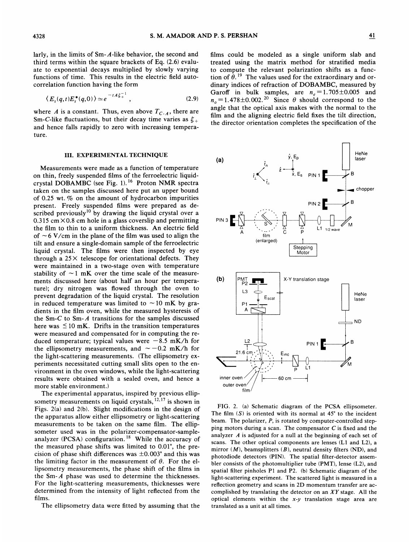larly, in the limits of Sm-A-like behavior, the second and third terms within the square brackets of Eq. (2.6) evaluate to exponential decays multiplied by slowly varying functions of time. This results in the electric field autocorrelation function having the form

$$
\langle E_s(q,t)E_s^*(q,0)\rangle \simeq e^{-tA\xi_+^{-1}}, \qquad (2.9)
$$

where A is a constant. Thus, even above  $T_{C-A}$ , there are Sm-C-like fluctuations, but their decay time varies as  $\xi_+$ and hence falls rapidly to zero with increasing temperature.

#### III. EXPERIMENTAL TECHNIQUE

Measurements were made as a function of temperature on thin, freely suspended films of the ferroelectric liquidcrystal DOBAMBC (see Fig. 1). <sup>16</sup> Proton NMR spectra taken on the samples discussed here put an upper bound of 0.25 wt. % on the amount of hydrocarbon impurities present. Freely suspended films were prepared as described previously<sup>10</sup> by drawing the liquid crystal over a  $0.315$  cm  $\times$  0.8 cm hole in a glass coverslip and permitting the film to thin to a uniform thickness. An electric field of  $\sim$  6 V/cm in the plane of the film was used to align the tilt and ensure a single-domain sample of the ferroelectric liquid crystal. The films were then inspected by eye through a  $25 \times$  telescope for orientational defects. They were maintained in a two-stage oven with temperature stability of  $\sim$  1 mK over the time scale of the measurements discussed here (about half an hour per temperature); dry nitrogen was fiowed through the oven to prevent degradation of the liquid crystal. The resolution in reduced temperature was limited to  $\sim$  10 mK by gradients in the film oven, while the measured hysteresis of the Sm-C to Sm-A transitions for the samples discussed here was  $\leq 10$  mK. Drifts in the transition temperatures were measured and compensated for in computing the reduced temperature; typical values were  $-8.5$  mK/h for the ellipsometry measurements, and  $\sim -0.2$  mK/h for the light-scattering measurements. (The ellipsometry experiments necessitated cutting small slits open to the environment in the oven windows, while the light-scattering results were obtained with a sealed oven, and hence a more stable environment. }

The experimental apparatus, inspired by previous ellip-The experimental apparatus, inspired by previous ellipsometry measurements on liquid crystals,  $^{12,17}$  is shown in Figs. 2(a) and 2(b). Slight modifications in the design of the apparatus allow either ellipsometry or light-scattering measurements to be taken on the same film. The ellipsometer used was in the polarizer-compensator-sampleanalyzer (PCSA) configuration.<sup>18</sup> While the accuracy of the measured phase shifts was limited to 0.01', the precision of phase shift differences was  $\pm 0.003^{\circ}$  and this was the limiting factor in the measurement of  $\theta$ . For the ellipsometry measurements, the phase shift of the films in the Sm- $A$  phase was used to determine the thicknesses. For the light-scattering measurements, thicknesses were determined from the intensity of light reflected from the films.

The ellipsometry data were fitted by assuming that the

films could be modeled as a single uniform slab and treated using the matrix method for stratified media to compute the relevant polarization shifts as a function of  $\theta$ .<sup>19</sup> The values used for the extraordinary and ordinary indices of refraction of DOBAMBC, measured by Garoff in bulk samples, are  $n_e = 1.705 \pm 0.005$  and  $n_e = 1.478 \pm 0.002$ .<sup>20</sup> Since  $\theta$  should correspond to the angle that the optical axis makes with the normal to the film and the aligning electric field fixes the tilt direction, the director orientation completes the specification of the



FIG. 2. (a) Schematic diagram of the PCSA ellipsometer. The film  $(S)$  is oriented with its normal at  $45^{\circ}$  to the incident beam. The polarizer, P, is rotated by computer-controlled stepping motors during a scan. The compensator  $C$  is fixed and the analyzer A is adjusted for a null at the beginning of each set of scans. The other optical components are lenses (L1 and L2), a mirror  $(M)$ , beamsplitters  $(B)$ , neutral density filters (ND), and photodiode detectors (PIN). The spatial filter-detector assembler consists of the photomultiplier tube (PMT), lense (L2), and spatial filter pinholes P1 and P2. (b) Schematic diagram of the light-scattering experiment. The scattered light is measured in a reflection geometry and scans in 2D momentum transfer are accomplished by translating the detector on an  $XY$  stage. All the optical elements within the  $x-y$  translation stage area are translated as a unit at all times.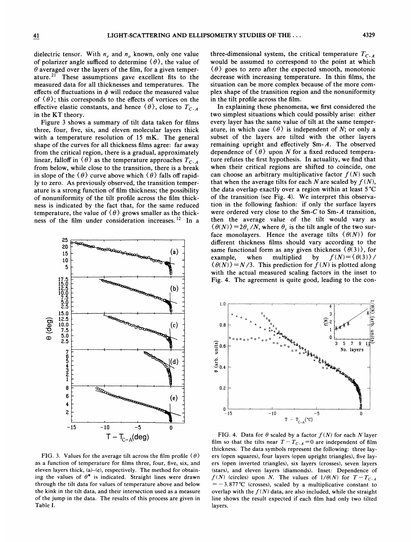dielectric tensor. With  $n_e$  and  $n_o$  known, only one value of polarizer angle sufficed to determine  $(\theta)$ , the value of  $\theta$  averaged over the layers of the film, for a given temperature.<sup>21</sup> These assumptions gave excellent fits to the measured data for all thicknesses and temperatures. The effects of fluctuations in  $\phi$  will reduce the measured value of  $(\theta)$ ; this corresponds to the effects of vortices on the effective elastic constants, and hence  $\langle \theta \rangle$ , close to  $T_{C_{1},A}$ in the KT theory.

Figure 3 shows a summary of tilt data taken for films three, four, five, six, and eleven molecular layers thick with a temperature resolution of 15 mK. The general shape of the curves for all thickness films agree: far away from the critical region, there is a gradual, approximately linear, falloff in  $\langle \theta \rangle$  as the temperature approaches  $T_{C-A}$ from below, while close to the transition, there is a break in slope of the  $\langle \theta \rangle$  curve above which  $\langle \theta \rangle$  falls off rapidly to zero. As previously observed, the transition temperature is a strong function of film thickness; the possibility of nonuniformity of the tilt profile across the film thickness is indicated by the fact that, for the same reduced temperature, the value of  $\langle \theta \rangle$  grows smaller as the thickness of the film under consideration increases.<sup>12</sup> In a



FIG. 3. Values for the average tilt across the film profile  $\langle \theta \rangle$ as a function of temperature for films three, four, five, six, and eleven layers thick,  $(a)$ – $(e)$ , respectively. The method for obtaining the values of  $\theta^*$  is indicated. Straight lines were drawn through the tilt data for values of temperature above and below the kink in the tilt data, and their intersection used as a measure of the jump in the data. The results of this process are given in Table I.

three-dimensional system, the critical temperature  $T_{C, A}$ would be assumed to correspond to the point at which  $\langle \theta \rangle$  goes to zero after the expected smooth, monotonic decrease with increasing temperature. In thin films, the situation can be more complex because of the more complex shape of the transition region and the nonuniformity in the tilt profile across the film.

In explaining these phenomena, we first considered the two simplest situations which could possibly arise: either every layer has the same value of tilt at the same temperature, in which case  $\langle \theta \rangle$  is independent of N; or only a subset of the layers are tilted with the other layers remaining upright and effectively Sm-A. The observed dependence of  $\langle \theta \rangle$  upon N for a fixed reduced temperature refutes the first hypothesis. In actuality, we find that when their critical regions are shifted to coincide, one can choose an arbitrary multiplicative factor  $f(N)$  such that when the average tilts for each N are scaled by  $f(N)$ , the data overlap exactly over a region within at least 5'C of the transition {see Fig. 4). We interpret this observation in the following fashion: if only the surface layers were ordered very close to the Sm-C to Sm-A transition, then the average value of the tilt would vary as  $\langle \theta(N) \rangle = 2\theta_s/N$ , where  $\theta_s$  is the tilt angle of the two surface monolayers. Hence the average tilts  $(\theta(N))$  for different thickness films should vary according to the same functional form as any given thickness  $\langle \theta(3) \rangle$ , for<br>example, when multiplied by  $f(N) = \langle \theta(3) \rangle$ example, when multiplied by  $f(N) = \langle \theta(3) \rangle /$ <br> $\langle \theta(N) \rangle = N/3$ . This prediction for  $f(N)$  is plotted along with the actual measured scaling factors in the inset to Fig. 4. The agreement is quite good, leading to the con-



FIG. 4. Data for  $\theta$  scaled by a factor  $f(N)$  for each N layer film so that the tilts near  $T - T_{C \cdot A} = 0$  are independent of film thickness. The data symbols represent the following: three layers (open squares), four layers (open upright triangles), five layers (open inverted triangles), six layers (crosses), seven layers (stars), and eleven layers (diamonds). Inset: Dependence of  $f(N)$  (circles) upon N. The values of  $1/\theta(N)$  for  $T-T_{C-A}$  $=$  -3.877 °C (crosses), scaled by a multiplicative constant to overlap with the  $f(N)$  data, are also included, while the straight line shows the result expected if each film had only two tilted layers.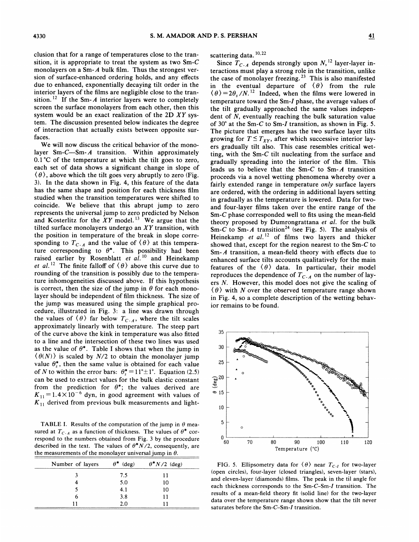elusion that for a range of temperatures close to the transition, it is appropriate to treat the system as two Sm-C monolayers on a Sm- $A$  bulk film. Thus the strongest version of surface-enhanced ordering holds, and any effects due to enhanced, exponentially decaying tilt order in the interior layers of the films are negligible close to the transition.<sup>12</sup> If the Sm-A interior layers were to completel screen the surface monolayers from each other, then this system would be an exact realization of the 2D XY system. The discussion presented below indicates the degree of interaction that actually exists between opposite surfaces.

We will now discuss the critical behavior of the monolayer Sm-C—Sm- $A$  transition. Within approximately 0.1'C of the temperature at which the tilt goes to zero, each set of data shows a significant change in slope of  $(\theta)$ , above which the tilt goes very abruptly to zero (Fig. 3). In the data shown in Fig. 4, this feature of the data has the same shape and position for each thickness film studied when the transition temperatures were shifted to coincide. We believe that this abrupt jump to zero represents the universal jurnp to zero predicted by Nelson and Kosterlitz for the  $XY$  model.<sup>13</sup> We argue that the tilted surface monolayers undergo an  $XY$  transition, with the position in temperature of the break in slope corresponding to  $T_{C-A}$  and the value of  $\langle \theta \rangle$  at this temperature corresponding to  $\theta^*$ . This possibility had been raised earlier by Rosenblatt et  $al$ .<sup>10</sup> and Heinekam et al.<sup>12</sup> The finite falloff of  $\langle \theta \rangle$  above this curve due to rounding of the transition is possibly due to the temperature inhomogeneities discussed above. If this hypothesis is correct, then the size of the jump in  $\theta$  for each monolayer should be independent of film thickness. The size of the jump was measured using the simple graphical procedure, illustrated in Fig. 3: a line was drawn through the values of  $\langle \theta \rangle$  far below  $T_{C-A}$ , where the tilt scales approximately linearly with temperature. The steep part of the curve above the kink in temperature was also fitted to a line and the intersection of these two lines was used as the value of  $\theta^*$ . Table I shows that when the jump in  $\langle \theta(N) \rangle$  is scaled by N/2 to obtain the monolayer jump value  $\theta_s^*$ , then the same value is obtained for each value of N to within the error bars:  $\theta_s^* = 11^\circ \pm 1^\circ$ . Equation (2.5) can be used to extract values for the bulk elastic constant from the prediction for  $\theta^*$ ; the values derived are  $K_{11} = 1.4 \times 10^{-6}$  dyn, in good agreement with values of  $K_{11}$  derived from previous bulk measurements and light-

TABLE I. Results of the computation of the jump in  $\theta$  measured at  $T_{C-A}$  as a function of thickness. The values of  $\theta^*$  correspond to the numbers obtained from Fig. 3 by the procedure described in the text. The values of  $\theta^*N/2$ , consequently, are the measurements of the monolayer universal jump in  $\theta$ .

| Number of layers | $\theta^*$<br>$(\text{deg})$ | $\theta^* N/2$ (deg) |
|------------------|------------------------------|----------------------|
|                  | 7.5                          |                      |
|                  | 5.0                          | 10                   |
|                  | 4.1                          | 10                   |
|                  | 3.8                          |                      |
|                  | 2.0                          |                      |

scattering data.  $10,22$ 

Since  $\overline{T}_{C-A}$  depends strongly upon  $N$ , <sup>12</sup> layer-layer interactions must play a strong role in the transition, unlike the case of monolayer freezing.<sup>23</sup> This is also manifested in the eventual departure of  $\langle \theta \rangle$  from the rule  $\langle \theta \rangle = 2\theta_s / N^{12}$  Indeed, when the films were lowered in temperature toward the Sm-I phase, the average values of the tilt gradually approached the same values independent of  $N$ , eventually reaching the bulk saturation value of  $30^{\circ}$  at the Sm-C to Sm-I transition, as shown in Fig. 5. The picture that emerges has the two surface layer tilts growing for  $T \leq T_{XY}$ , after which successive interior layers gradually tilt also. This case resembles critical wetting, with the Sm-C tilt nucleating from the surface and gradually spreading into the interior of the film. This leads us to believe that the Sm- $C$  to Sm- $A$  transition proceeds via a novel wetting phenomena whereby over a fairly extended range in temperature only surface layers are ordered, with the ordering in additional layers setting in gradually as the temperature is lowered. Data for twoand four-layer films taken over the entire range of the Sm-C phase corresponded well to fits using the mean-field theory proposed by Dumrongrattana et al. for the bulk Sm-C to Sm-A transition<sup>24</sup> (see Fig. 5). The analysis of Heinekamp et  $aI$ .<sup>12</sup> of films two layers and thicker showed that, except for the region nearest to the Sm-C to Sm-A transition, a mean-field theory with effects due to enhanced surface tilts accounts qualitatively for the main features of the  $\langle \theta \rangle$  data. In particular, their model reproduces the dependence of  $T_{C-A}$  on the number of layers N. However, this model does not give the scaling of  $\langle \theta \rangle$  with N over the observed temperature range shown in Fig. 4, so a complete description of the wetting behavior remains to be found.



FIG. 5. Ellipsometry data for  $\langle \theta \rangle$  near  $T_{C-I}$  for two-layer (open circles), four-layer (closed triangles), seven-layer (stars), and eleven-layer (diamonds) films. The peak in the til angle for each thickness corresponds to the Sm-C-Sm-I transition. The results of a mean-field theory fit (solid line) for the two-layer data over the temperature range shown show that the tilt never saturates before the Sm-C—Sm-I transition.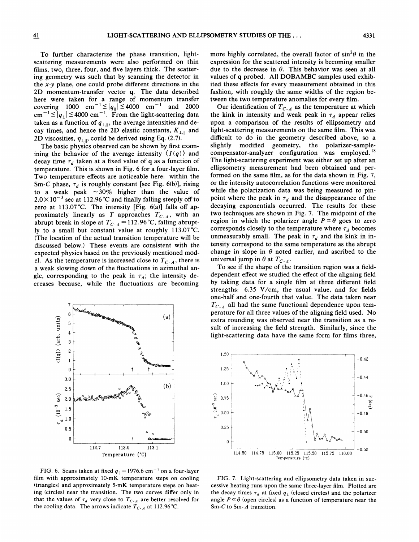To further characterize the phase transition, lightscattering measurements were also performed on thin films, two, three, four, and five layers thick. The scattering geometry was such that by scanning the detector in the  $x-y$  plane, one could probe different directions in the 2D momentum-transfer vector q. The data described here were taken for a range of momentum transfer covering 1000 cm<sup>-1</sup>  $\leq |q_{\parallel}| \leq 4000$  cm<sup>-1</sup> and 2000  $\text{cm}^{-1} \leq |q_+| \leq 4000 \text{ cm}^{-1}$ . From the light-scattering data taken as a function of  $q_{\perp, \parallel}$ , the average intensities and decay times, and hence the 2D elastic constants,  $K_{\perp,\parallel}$  and 2D viscosities,  $\eta_{\perp,\parallel}$ , could be derived using Eq. (2.7).

The basic physics observed can be shown by first examining the behavior of the average intensity  $\langle I(q) \rangle$  and decay time  $\tau_d$  taken at a fixed value of q as a function of temperature. This is shown in Fig. 6 for a four-layer film. Two temperature effects are noticeable here: within the Sm-C phase,  $\tau_d$  is roughly constant [see Fig. 6(b)], rising to a weak peak  $\sim$ 30% higher than the value of  $2.0 \times 10^{-3}$  sec at 112.96 °C and finally falling steeply off to zero at 113.07'C. The intensity [Fig. 6(a)] falls off approximately linearly as T approaches  $T_{C-A}$ , with an abrupt break in slope at  $T_{C \cdot A} = 112.96 \degree C$ , falling abruptly to a small but constant value at roughly 113.07'C. (The location of the actual transition temperature will be discussed below.) These events are consistent with the expected physics based on the previously mentioned model. As the temperature is increased close to  $T_{C-A}$ , there is a weak slowing down of the fluctuations in azimuthal angle, corresponding to the peak in  $\tau_d$ ; the intensity decreases because, while the fluctuations are becoming



FIG. 6. Scans taken at fixed  $q_{\parallel} = 1976.6$  cm<sup>-1</sup> on a four-laye film with approximately 10-mK temperature steps on cooling (triangles) and approximately 5-mK temperature steps on heating (circles) near the transition. The two curves differ only in that the values of  $\tau_d$  very close to  $T_{C \cdot A}$  are better resolved for the cooling data. The arrows indicate  $T_{C-A}$  at 112.96 °C.

more highly correlated, the overall factor of  $\sin^2\theta$  in the expression for the scattered intensity is becoming smaller due to the decrease in  $\theta$ . This behavior was seen at all values of q probed. All DOBAMBC samples used exhibited these effects for every measurement obtained in this fashion, with roughly the same widths of the region between the two temperature anomalies for every film.

Our identification of  $T_{C-A}$  as the temperature at which the kink in intensity and weak peak in  $\tau_d$  appear relies upon a comparison of the results of ellipsometry and light-scattering measurements on the same film. This was difficult to do in the geometry described above, so a slightly modified geometry, the polarizer-samplecompensator-analyzer configuration was employed.  $18$ The light-scattering experiment was either set up after an ellipsometry measurement had been obtained and performed on the same film, as for the data shown in Fig. 7, or the intensity autocorrelation functions were monitored while the polarization data was being measured to pinpoint where the peak in  $\tau_d$  and the disappearance of the decaying exponentials occurred. The results for these two techniques are shown in Fig. 7. The midpoint of the region in which the polarizer angle  $P \propto \theta$  goes to zero corresponds closely to the temperature where  $\tau_d$  becomes unmeasurably small. The peak in  $\tau_d$  and the kink in intensity correspond to the same temperature as the abrupt change in slope in  $\theta$  noted earlier, and ascribed to the universal jump in  $\theta$  at  $T_{C-A}$ .

To see if the shape of the transition region was a fielddependent effect we studied the effect of the aligning field by taking data for a single film at three different field strengths: 6.35 V/cm, the usual value, and for fields one-half and one-fourth that value. The data taken near  $T_{C-A}$  all had the same functional dependence upon temperature for all three values of the aligning field used. No extra rounding was observed near the transition as a result of increasing the field strength. Similarly, since the light-scattering data have the same form for films three,



FIG. 7. Light-scattering and ellipsometry data taken in successive heating runs upon the same three-layer film. Plotted are the decay times  $\tau_d$  at fixed  $q_{\perp}$  (closed circles) and the polarizer angle  $P \propto \theta$  (open circles) as a function of temperature near the Sm-C to Sm-A transition.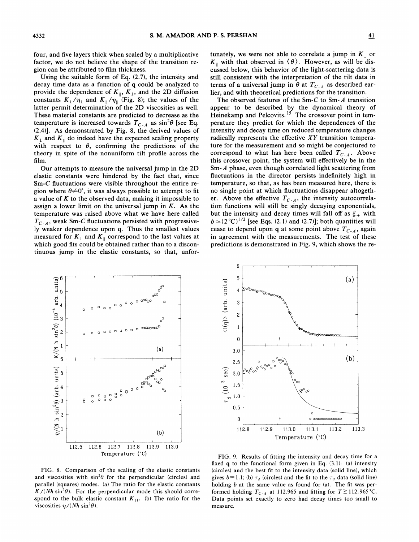four, and five layers thick when scaled by a multiplicative factor, we do not believe the shape of the transition region can be attributed to film thickness.

Using the suitable form of Eq. (2.7), the intensity and decay time data as a function of q could be analyzed to provide the dependence of  $K_{\parallel}$ ,  $K_{\perp}$ , and the 2D diffusion constants  $K_{\perp}/\eta_{\perp}$  and  $K_{\parallel}/\eta_{\parallel}$  (Fig. 8); the values of the latter permit determination of the 2D viscosities as well. These material constants are predicted to decrease as the temperature is increased towards  $T_{C-A}$  as  $\sin^2\theta$  [see Eq. (2.4)]. As demonstrated by Fig. 8, the derived values of  $K_{\perp}$  and  $K_{\parallel}$  do indeed have the expected scaling property with respect to  $\theta$ , confirming the predictions of the theory in spite of the nonuniform tilt profile across the film.

Our attempts to measure the universal jump in the 2D elastic constants were hindered by the fact that, since Sm-C fluctuations were visible throughout the entire region where  $\theta \neq 0^\circ$ , it was always possible to attempt to fit a value of  $K$  to the observed data, making it impossible to assign a lower limit on the universal jump in  $K$ . As the temperature was raised above what we have here called  $T_{C-A}$ , weak Sm-C fluctuations persisted with progressively weaker dependence upon q. Thus the smallest values measured for  $K_{\perp}$  and  $K_{\parallel}$  correspond to the last values at which good fits could be obtained rather than to a discontinuous jump in the elastic constants, so that, unfor-

tunately, we were not able to correlate a jump in  $K_{\perp}$  or  $K_{\parallel}$  with that observed in  $\langle \theta \rangle$ . However, as will be discussed below, this behavior of the light-scattering data is still consistent with the interpretation of the tilt data in terms of a universal jump in  $\theta$  at  $T_{C-A}$  as described earlier, and with theoretical predictions for the transition.

The observed features of the Sm-C to Sm- A transition appear to be described by the dynamical theory of Heinekamp and Pelcovits.<sup>15</sup> The crossover point in temperature they predict for which the dependences of the intensity and decay time on reduced temperature changes radically represents the effective  $XY$  transition temperature for the measurement and so might be conjectured to correspond to what has here been called  $T_{C-4}$ . Above this crossover point, the system will effectively be in the Sm-A phase, even though correlated light scattering from fluctuations in the director persists indefinitely high in temperature, so that, as has been measured here, there is no single point at which fluctuations disappear altogether. Above the effective  $T_{C-A}$ , the intensity autocorrelation functions will still be singly decaying exponentials, but the intensity and decay times will fall off as  $\xi_+$  with  $b \simeq (2^{\circ}\text{C})^{1/2}$  [see Eqs. (2.1) and (2.7)]; both quantities will but the intensity and decay times will fall off as  $\xi_+$  with  $b \approx (2^{\circ}C)^{1/2}$  [see Eqs. (2.1) and (2.7)]; both quantities will cease to depend upon q at some point above  $T_{C-A}$ , again in agreement with the measuremen in agreement with the measurements. The test of these predictions is demonstrated in Fig. 9, which shows the re-



FIG. 8. Comparison of the scaling of the elastic constants and viscosities with  $\sin^2\theta$  for the perpendicular (circles) and parallel (squares) modes. (a) The ratio for the elastic constants  $K/(Nh \sin^2 \theta)$ . For the perpendicular mode this should correspond to the bulk elastic constant  $K_{11}$ . (b) The ratio for the viscosities  $\eta/(Nh \sin^2 \theta)$ .



FIG. 9. Results of fitting the intensity and decay time for a fixed  $q$  to the functional form given in Eq.  $(3.1)$ :  $(a)$  intensity (circles) and the best fit to the intensity data (solid line), which gives  $b=1.1$ ; (b)  $\tau_d$  (circles) and the fit to the  $\tau_d$  data (solid line) holding  $b$  at the same value as found for (a). The fit was performed holding  $T_{C \cdot A}$  at 112.965 and fitting for  $T \ge 112.965$  °C. Data points set exactly to zero had decay times too small to measure.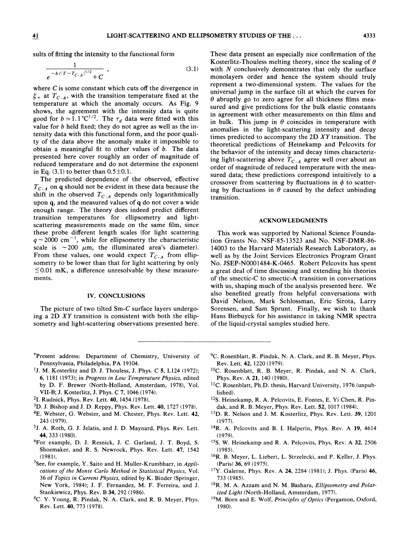suits of fitting the intensity to the functional form

$$
\frac{1}{e^{-b/|T-T_{C-A}|^{1/2}+C}} \,, \tag{3.1}
$$

where C is some constant which cuts off the divergence in  $\xi_{+}$  at  $T_{C-A}$ , with the transition temperature fixed at the temperature at which the anomaly occurs. As Fig. 9 shows, the agreement with the intensity data is quite good for  $b \approx 1.1^{\circ}C^{1/2}$ . The  $\tau_d$  data were fitted with this value for  $b$  held fixed; they do not agree as well as the intensity data with this functional form, and the poor quality of the data above the anomaly make it impossible to obtain a meaningful fit to other values of  $b$ . The data presented here cover roughly an order of magnitude of reduced temperature and do not determine the exponent in Eq.  $(3.1)$  to better than  $0.5\pm0.1$ .

The predicted dependence of the observed, effective  $T_{C-A}$  on q should not be evident in these data because the shift in the observed  $T_{C-A}$  depends only logarithmically upon q, and the measured values of q do not cover a wide enough range. The theory does indeed predict different transition temperatures for ellipsometry and lightscattering measurements made on the same film, since these probe different length scales (for light scattering  $q \sim$ 2000 cm<sup>-1</sup>, while for ellipsometry the characteristic scale is  $\sim$  200  $\mu$ m, the illuminated area's diameter). From these values, one would expect  $T_{C-A}$  from ellip sometry to be lower than that for light scattering by only  $\leq$  0.01 mK, a difference unresolvable by these measurements.

#### IV. CONCLUSIONS

The picture of two tilted  $Sm-C$  surface layers undergoing a 2D  $XY$  transition is consistent with both the ellipsometry and light-scattering observations presented here. These data present an especially nice confirmation of the Kosterlitz-Thouless melting theory, since the scaling of  $\theta$ with  $N$  conclusively demonstrates that only the surface monolayers order and hence the system should truly represent a two-dimensional system. The values for the universal jump in the surface tilt at which the curves for  $\theta$  abruptly go to zero agree for all thickness films measured and give predictions for the bulk elastic constants in agreement with other measurements on thin films and in bulk. This jump in  $\theta$  coincides in temperature with anomalies in the light-scattering intensity and decay times predicted to accompany the 2D  $XY$  transition. The theoretical predictions of Heinekamp and Pelcovits for the behavior of the intensity and decay times characterizing light-scattering above  $T_{C-A}$  agree well over about an order of magnitude of reduced temperature with the measured data; these predictions correspond intuitively to a crossover from scattering by fluctuations in  $\phi$  to scattering by fluctuations in  $\theta$  caused by the defect unbinding transition.

#### ACKNOWLEDGMENTS

This work was supported by National Science Foundation Grants No. NSF-85-13523 and No. NSF-DMR-86- 14003 to the Harvard Materials Research Laboratory, as well as by the Joint Services Electronics Program Grant No. JSEP-N0001484-K-0465. Robert Pelcovits has spent a great deal of time discussing and extending his theories of the smectic-C to smectic-A transition in conversations with us, shaping much of the analysis presented here. We also benefited greatly from helpful conversations with David Nelson, Mark Schlossman, Eric Sirota, Larry Sorensen, and Sam Sprunt. Finally, we wish to thank Hans Biebuyck for his assistance in taking NMR spectra of the liquid-crystal samples studied here.

- 'Present address: Department of Chemistry, University of Pennsylvania, Philadelphia, PA 19104.
- <sup>1</sup>J. M. Kosterlitz and D. J. Thouless, J. Phys. C 5, L124 (1972); 6, 1181 (1973);in Progress in Lou Temperature Physics, edited by D. F. Brewer (North-Holland, Amsterdam, 1978), Vol. VII-B;J. Kosterlitz, J. Phys. C 7, 1046 (1974).
- <sup>2</sup>I. Rudnick, Phys. Rev. Lett. **40**, 1454 (1978).
- <sup>3</sup>D. J. Bishop and J. D. Reppy, Phys. Rev. Lett. 40, 1727 (1978).
- 4E. Webster, G. Webster, and M. Chester, Phys. Rev. Lett. 42, 243 (1979).
- 5J. A. Roth, G. J. Jelatis, and J. D. Maynard, Phys. Rev. Lett. 44, 333 (1980).
- For example, D. J. Resnick, J. C. Garland, J. T. Boyd, S. Shoemaker, and R. S. Newrock, Phys. Rev. Lett. 47, 1542 (1981).
- <sup>7</sup>See, for example, Y. Saito and H. Muller-Krumbharr, in *Appli*cations of the Monte Carlo Method in Statistical Physics, Vol. 36 of Topics in Current Physics, edited by K. Binder (Springer, New York, 1984); J. F. Fernandez, M. F. Ferreira, and J. Stankiewicz, Phys. Rev. B34, 292 (1986).
- 8C. Y. Young, R. Pindak, N. A. Clark, and R. B. Meyer, Phys. Rev. Lett. 40, 773 (1978).
- ${}^{9}C$ . Rosenblatt, R. Pindak, N. A. Clark, and R. B. Meyer, Phys. Rev. Lett. 42, 1220 (1979).
- <sup>10</sup>C. Rosenblatt, R. B. Meyer, R. Pindak, and N. A. Clark, Phys. Rev. A 21, 140 (1980).
- <sup>11</sup>C. Rosenblatt, Ph.D. thesis, Harvard University, 1976 (unpublished).
- <sup>12</sup>S. Heinekamp, R. A. Pelcovits, E. Fontes, E. Yi Chen, R. Pindak, and R. B. Meyer, Phys. Rev. Lett. 52, 1017 (1984).
- <sup>13</sup>D. R. Nelson and J. M. Kosterlitz, Phys. Rev. Lett. 39, 1201 (1977).
- <sup>14</sup>R. A. Pelcovits and B. I. Halperin, Phys. Rev. A 19, 4614 (1979).
- <sup>15</sup>S. W. Heinekamp and R. A. Pelcovits, Phys. Rev. A 32, 2506 (1985).
- <sup>16</sup>R. B. Meyer, L. Liebert, L. Strzelecki, and P. Keller, J. Phys. (Paris) 36, 69 (1975).
- <sup>17</sup>Y. Galerne, Phys. Rev. A 24, 2284 (1981); J. Phys. (Paris) 46, 733 (1985).
- $18R$ . M. A. Azzam and N. M. Bashara, Ellipsometry and Polarized Light (North-Holland, Amsterdam, 1977).
- <sup>19</sup>M. Born and E. Wolf, Principles of Optics (Pergamon, Oxford, 1980).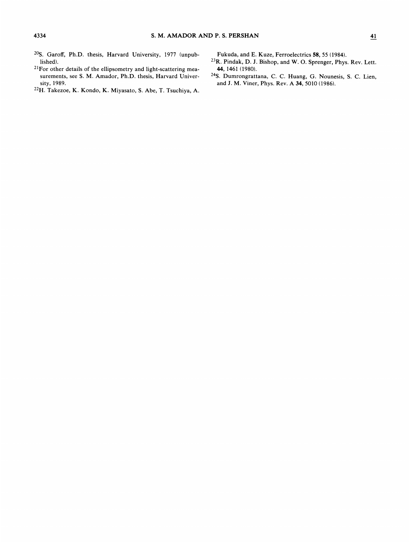- <sup>20</sup>S. Garoff, Ph.D. thesis, Harvard University, 1977 (unpublished).
- $21$  For other details of the ellipsometry and light-scattering measurements, see S. M. Amador, Ph.D. thesis, Harvard University, 1989.
- <sup>22</sup>H. Takezoe, K. Kondo, K. Miyasato, S. Abe, T. Tsuchiya, A.

Fukuda, and E. Kuze, Ferroelectrics 58, S5 (1984).

- <sup>23</sup>R. Pindak, D. J. Bishop, and W. O. Sprenger, Phys. Rev. Lett. 44, 1461 {1980).
- 24S. Dumrongrattana, C. C. Huang, G. Nounesis, S. C. Lien, and J. M. Viner, Phys. Rev. <sup>A</sup> 34, 5010 (1986).